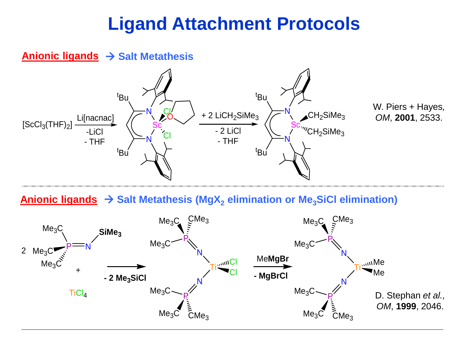## **Ligand Attachment Protocols**

### **Anionic ligands → Salt Metathesis**



**Anionic ligands** → **Salt Metathesis (MgX<sup>2</sup> elimination or Me3SiCl elimination)**

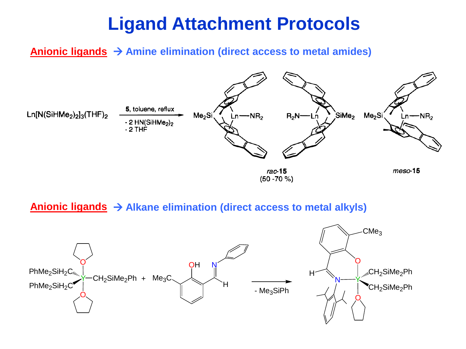### **Ligand Attachment Protocols**

### **Anionic ligands** → **Amine elimination (direct access to metal amides)**



#### **Anionic ligands** → **Alkane elimination (direct access to metal alkyls)**

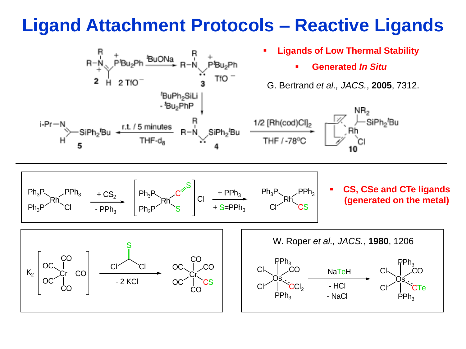## **Ligand Attachment Protocols – Reactive Ligands**